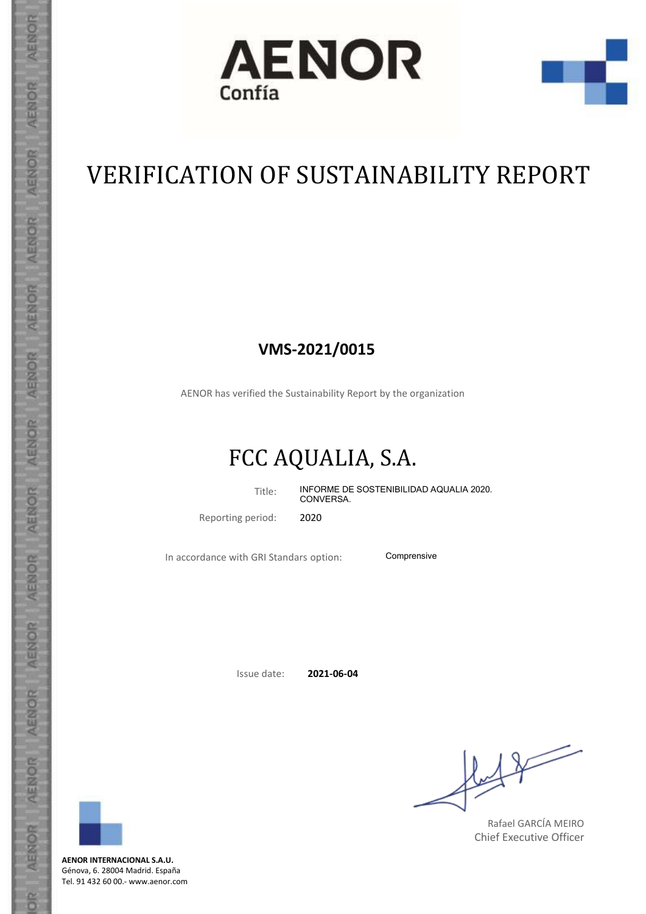



## VERIFICATION OF SUSTAINABILITY REPORT

## **VMS-2021/0015**

AENOR has verified the Sustainability Report by the organization

## FCC AQUALIA, S.A.

Title: INFORME DE SOSTENIBILIDAD AQUALIA 2020. CONVERSA.

Reporting period: 2020

In accordance with GRI Standars option: Comprensive

Issue date: **2021-06-04**

**AENOR** 

**AENOR** 

**GENOR** 

**AENOR** 

**AENOR** 

**AENOR** 

AENOR

**AENOR** 

**AFNOR** 

AENOR

AENOR

AENOR

AENOR

6<sub>c</sub>

**AENOR INTERNACIONAL S.A.U.** Génova, 6. 28004 Madrid. España Tel. 91 432 60 00.- www.aenor.com

 $\diagup$ 

Rafael GARCÍA MEIRO Chief Executive Officer